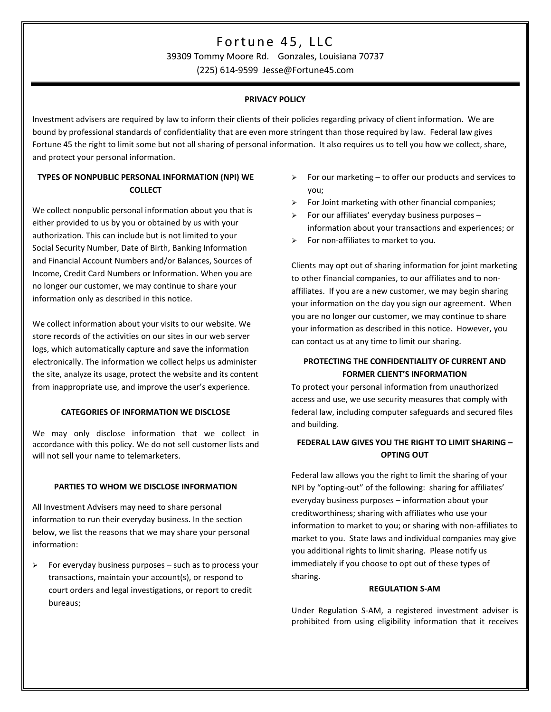# Fortune 45, LLC

39309 Tommy Moore Rd. Gonzales, Louisiana 70737

(225) 614-9599 Jesse@Fortune45.com

# **PRIVACY POLICY**

Investment advisers are required by law to inform their clients of their policies regarding privacy of client information. We are bound by professional standards of confidentiality that are even more stringent than those required by law. Federal law gives Fortune 45 the right to limit some but not all sharing of personal information. It also requires us to tell you how we collect, share, and protect your personal information.

# **TYPES OF NONPUBLIC PERSONAL INFORMATION (NPI) WE COLLECT**

We collect nonpublic personal information about you that is either provided to us by you or obtained by us with your authorization. This can include but is not limited to your Social Security Number, Date of Birth, Banking Information and Financial Account Numbers and/or Balances, Sources of Income, Credit Card Numbers or Information. When you are no longer our customer, we may continue to share your information only as described in this notice.

We collect information about your visits to our website. We store records of the activities on our sites in our web server logs, which automatically capture and save the information electronically. The information we collect helps us administer the site, analyze its usage, protect the website and its content from inappropriate use, and improve the user's experience.

## **CATEGORIES OF INFORMATION WE DISCLOSE**

We may only disclose information that we collect in accordance with this policy. We do not sell customer lists and will not sell your name to telemarketers.

## **PARTIES TO WHOM WE DISCLOSE INFORMATION**

All Investment Advisers may need to share personal information to run their everyday business. In the section below, we list the reasons that we may share your personal information:

 $\triangleright$  For everyday business purposes – such as to process your transactions, maintain your account(s), or respond to court orders and legal investigations, or report to credit bureaus;

- $\triangleright$  For our marketing to offer our products and services to you;
- $\triangleright$  For Joint marketing with other financial companies;
- For our affiliates' everyday business purposes information about your transactions and experiences; or
- $\triangleright$  For non-affiliates to market to you.

Clients may opt out of sharing information for joint marketing to other financial companies, to our affiliates and to nonaffiliates. If you are a new customer, we may begin sharing your information on the day you sign our agreement. When you are no longer our customer, we may continue to share your information as described in this notice. However, you can contact us at any time to limit our sharing.

# **PROTECTING THE CONFIDENTIALITY OF CURRENT AND FORMER CLIENT'S INFORMATION**

To protect your personal information from unauthorized access and use, we use security measures that comply with federal law, including computer safeguards and secured files and building.

# **FEDERAL LAW GIVES YOU THE RIGHT TO LIMIT SHARING – OPTING OUT**

Federal law allows you the right to limit the sharing of your NPI by "opting-out" of the following: sharing for affiliates' everyday business purposes – information about your creditworthiness; sharing with affiliates who use your information to market to you; or sharing with non-affiliates to market to you. State laws and individual companies may give you additional rights to limit sharing. Please notify us immediately if you choose to opt out of these types of sharing.

## **REGULATION S-AM**

Under Regulation S-AM, a registered investment adviser is prohibited from using eligibility information that it receives